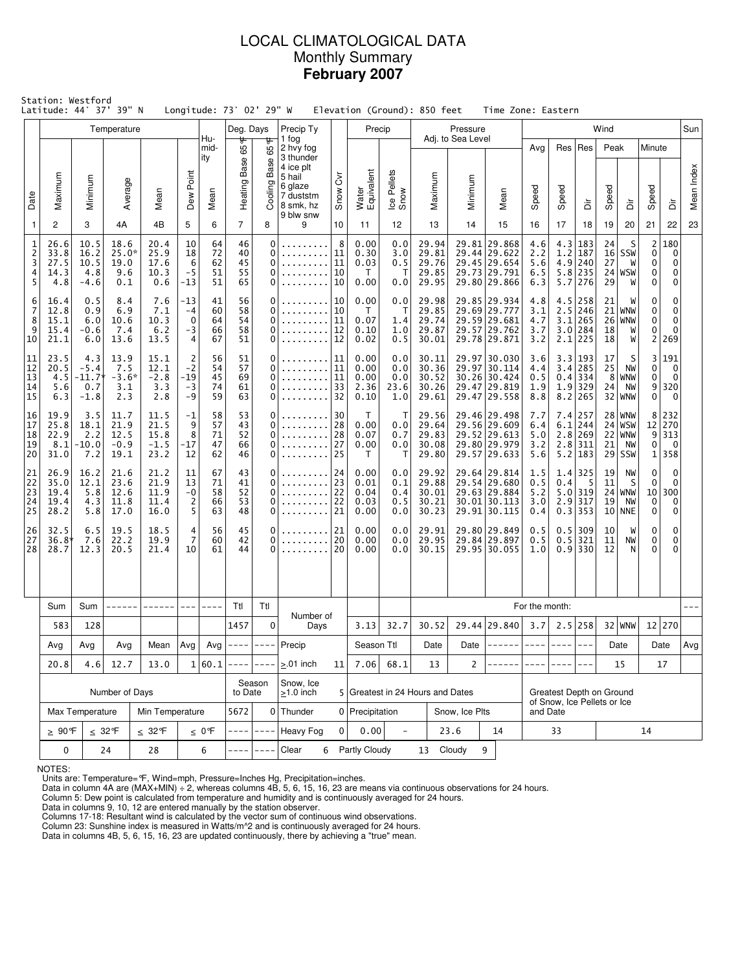# LOCAL CLIMATOLOGICAL DATA Monthly Summary **February 2007**

|                                    | Station: Westford<br>Latitude: 44° 37' 39" N |                                         |                                        |                                        |                                         |                            | Longitude: 73° 02' 29" W   |                              |                                                                   |                            | Elevation (Ground): 850 feet         |                                  |                                           |                              | Time Zone: Eastern                                                           |                                 |                          |                                                                   |                                  |                                                  |                                              |                                                       |            |
|------------------------------------|----------------------------------------------|-----------------------------------------|----------------------------------------|----------------------------------------|-----------------------------------------|----------------------------|----------------------------|------------------------------|-------------------------------------------------------------------|----------------------------|--------------------------------------|----------------------------------|-------------------------------------------|------------------------------|------------------------------------------------------------------------------|---------------------------------|--------------------------|-------------------------------------------------------------------|----------------------------------|--------------------------------------------------|----------------------------------------------|-------------------------------------------------------|------------|
|                                    |                                              |                                         | Temperature                            |                                        |                                         | Hu-                        | Deg. Days                  |                              | Precip Ty                                                         |                            | Precip                               |                                  |                                           | Pressure                     |                                                                              |                                 |                          |                                                                   | Wind                             |                                                  |                                              |                                                       | Sun        |
|                                    | Maximum                                      | Minimum                                 |                                        |                                        | Dew Point                               | mid-<br>ity                | 65°F<br>Heating Base       | 65°F<br>Base                 | 1 fog<br>2 hvy fog<br>3 thunder<br>4 ice plt<br>5 hail<br>6 glaze | δ                          | Water<br>Equivalent                  | Ice Pellets<br>Snow              | Maximum                                   | Adj. to Sea Level<br>Minimum |                                                                              | Avg                             |                          | Res   Res                                                         | Peak                             |                                                  | Minute                                       |                                                       | Mean Index |
| Date                               |                                              |                                         | Average                                | Mean                                   |                                         | Mean                       |                            | Cooling                      | 7 duststm<br>8 smk, hz<br>9 blw snw                               | Snow                       |                                      |                                  |                                           |                              | Mean                                                                         | Speed                           | Speed                    | ă                                                                 | Speed                            | à                                                | Speed                                        | ă                                                     |            |
| $\overline{1}$                     | 2                                            | 3                                       | 4A                                     | 4B                                     | 5                                       | 6                          | $\overline{7}$             | 8                            | 9                                                                 | 10                         | 11                                   | 12                               | 13                                        | 14                           | 15                                                                           | 16                              | 17                       | 18                                                                | 19                               | 20                                               | 21                                           | 22                                                    | 23         |
| 1<br>$\overline{c}$<br>3<br>4<br>5 | 26.6<br>33.8<br>27.5<br>14.3<br>4.8          | 10.5<br>16.2<br>10.5<br>4.8<br>$-4.6$   | 18.6<br>$25.0*$<br>19.0<br>9.6<br>0.1  | 20.4<br>25.9<br>17.6<br>10.3<br>0.6    | 10<br>18<br>6<br>$-5$<br>$-13$          | 64<br>72<br>62<br>51<br>51 | 46<br>40<br>45<br>55<br>65 | 0<br>0<br>0<br>0<br>0        |                                                                   | 8<br>11<br>11<br>10<br>10  | 0.00<br>0.30<br>0.03<br>T<br>0.00    | 0.0<br>3.0<br>0.5<br>Т<br>0.0    | 29.94<br>29.81<br>29.76<br>29.85<br>29.95 |                              | 29.81 29.868<br>29.44 29.622<br>29.45 29.654<br>29.73 29.791<br>29.80 29.866 | 4.6<br>2.2<br>5.6<br>6.5<br>6.3 | 4.3<br>1.2               | 183<br>187<br>$4.9$ 240<br>$5.8$   235<br>$5.7$   276             | 24<br>27<br>29                   | S<br>$16$ SSW<br>W<br>$24$ WSW<br>W              | $\overline{2}$<br>$\mathbf 0$<br>0<br>0<br>0 | 180<br>$\Omega$<br>0<br>0<br>0                        |            |
| 6<br>7<br>8<br>9<br>10             | 16.4<br>12.8<br>15.1<br>15.4<br>21.1         | 0.5<br>0.9<br>6.0<br>-0.6<br>6.0        | 8.4<br>6.9<br>10.6<br>7.4<br>13.6      | 7.6<br>7.1<br>10.3<br>6.2<br>13.5      | -13<br>$-4$<br>$\mathbf 0$<br>$-3$<br>4 | 41<br>60<br>64<br>66<br>67 | 56<br>58<br>54<br>58<br>51 | 0<br>0<br>0<br>0<br>0        |                                                                   | 10<br>10<br>11<br>12<br>12 | 0.00<br>T.<br>0.07<br>0.10<br>0.02   | 0.0<br>т<br>1.4<br>1.0<br>0.5    | 29.98<br>29.85<br>29.74<br>29.87<br>30.01 |                              | 29.85 29.934<br>29.69 29.777<br>29.59 29.681<br>29.57 29.762<br>29.78 29.871 | 4.8<br>3.1<br>4.7<br>3.7<br>3.2 | 4.5<br>2.5               | 258<br>246<br>$3.1$   265<br>$3.0$ 284<br>$2.1$   225             | 21<br>21<br>26<br>18<br>18       | W<br>WNW<br>WNW<br>W<br>W                        | 0<br>0<br>0<br>0<br>2                        | $\mathbf 0$<br>0<br>$\mathbf 0$<br>$\mathbf 0$<br>269 |            |
| 11<br>12<br>13<br>14<br>15         | 23.5<br>20.5<br>4.5<br>5.6<br>6.3            | 4.3<br>$-5.4$<br>-11.7<br>0.7<br>$-1.8$ | 13.9<br>7.5<br>$-3.6*$<br>3.1<br>2.3   | 15.1<br>12.1<br>$-2.8$<br>3.3<br>2.8   | $\frac{2}{-2}$<br>$-19$<br>$-3$<br>$-9$ | 56<br>54<br>45<br>74<br>59 | 51<br>57<br>69<br>61<br>63 | 0<br>0<br>0<br>0<br>0        |                                                                   | 11<br>11<br>11<br>33<br>32 | 0.00<br>0.00<br>0.00<br>2.36<br>0.10 | 0.0<br>0.0<br>0.0<br>23.6<br>1.0 | 30.11<br>30.36<br>30.52<br>30.26<br>29.61 |                              | 29.97 30.030<br>29.97 30.114<br>30.26 30.424<br>29.47 29.819<br>29.47 29.558 | 3.6<br>4.4<br>0.5<br>1.9<br>8.8 |                          | 3.3 193<br>$3.4$   285<br>$0.4$ 334<br>$1.9$ 329<br>$8.2$   265   | 17<br>25<br>8 <sup>1</sup><br>24 | S<br>NW<br>WNW<br>NW<br>$32$ WNW                 | 3<br>0<br>0<br>9<br>0                        | 191<br>0<br>$\mathbf 0$<br>320<br>$\mathbf 0$         |            |
| 16<br>17<br>18<br>19<br>20         | 19.9<br>25.8<br>22.9<br>8.1<br>31.0          | 3.5<br>18.1<br>2.2<br>$-10.0$<br>7.2    | 11.7<br>21.9<br>12.5<br>$-0.9$<br>19.1 | 11.5<br>21.5<br>15.8<br>$-1.5$<br>23.2 | $^{-1}$<br>9<br>8<br>$-17$<br>12        | 58<br>57<br>71<br>47<br>62 | 53<br>43<br>52<br>66<br>46 | 0<br>0<br>0<br>0<br>$\Omega$ |                                                                   | 30<br>28<br>28<br>27<br>25 | Τ<br>0.00<br>0.07<br>0.00<br>T.      | т<br>0.0<br>0.7<br>0.0<br>т      | 29.56<br>29.64<br>29.83<br>30.08<br>29.80 |                              | 29.46 29.498<br>29.56 29.609<br>29.52 29.613<br>29.80 29.979<br>29.57 29.633 | 7.7<br>6.4<br>5.0<br>3.2<br>5.6 |                          | 7.4 257<br>$6.1$   244<br>$2.8$ 269<br>$2.8$   311<br>$5.2$   183 | 21                               | 28 WNW<br>$24$ WSW<br>$22$ WNW<br>NW<br>$29$ SSW | 8<br>12<br>9<br>0<br>$1\vert$                | 232<br>270<br>313<br>$\overline{\phantom{0}}$<br>358  |            |
| 21<br>22<br>23<br>24<br>25         | 26.9<br>35.0<br>19.4<br>19.4<br>28.2         | 16.2<br>12.1<br>5.8<br>4.3<br>5.8       | 21.6<br>23.6<br>12.6<br>11.8<br>17.0   | 21.2<br>21.9<br>11.9<br>11.4<br>16.0   | 11<br>13<br>$-0$<br>$\overline{2}$<br>5 | 67<br>71<br>58<br>66<br>63 | 43<br>41<br>52<br>53<br>48 | 0<br>0<br>0<br>0<br>0        |                                                                   | 24<br>23<br>22<br>22<br>21 | 0.00<br>0.01<br>0.04<br>0.03<br>0.00 | 0.0<br>0.1<br>0.4<br>0.5<br>0.0  | 29.92<br>29.88<br>30.01<br>30.21<br>30.23 |                              | 29.64 29.814<br>29.54 29.680<br>29.63 29.884<br>30.01 30.113<br>29.91 30.115 | 1.5<br>0.5<br>5.2<br>3.0<br>0.4 | 0.4                      | $1.4$ 325<br>- 5<br>$5.0$ 319<br>$2.9$ 317<br>$0.3$ 353           | 19<br>11<br>19                   | NW<br>S<br>$24$ WNW<br>NW<br>$10$ NNE            | 0<br>0<br>10<br>$\mathbf 0$<br>$\mathbf 0$   | 0<br>0<br>300<br>0<br>0                               |            |
| 26<br>27<br>28                     | 32.5<br>36.8*<br>28.7                        | 6.5<br>7.6<br>12.3                      | 19.5<br>22.2<br>20.5                   | 18.5<br>19.9<br>21.4                   | 4<br>$\overline{7}$<br>10               | 56<br>60<br>61             | 45<br>42<br>44             | 0<br>0<br>$\Omega$           | .                                                                 | 21<br>20<br>20             |                                      | 0.0<br>0.0<br>0.0                | 29.91<br>29.95<br>30.15                   |                              | 29.80 29.849<br>29.84 29.897<br>29.95 30.055                                 | 0.5<br>0.5<br>1.0               |                          | $0.5$   309<br>$0.5$   321<br>$0.9$   330                         | 10<br>11<br>12                   | W<br>NW<br>N                                     | 0<br>0<br>0                                  | $\mathbf 0$<br>0<br>0                                 |            |
|                                    | Sum                                          | Sum                                     |                                        |                                        |                                         |                            | Ttl                        | Ttl                          |                                                                   |                            |                                      |                                  |                                           |                              |                                                                              | For the month:                  |                          |                                                                   |                                  |                                                  |                                              |                                                       |            |
|                                    | 583                                          | 128                                     |                                        |                                        |                                         |                            | 1457                       | $\mathbf 0$                  | Number of<br>Days                                                 |                            | 3.13                                 | 32.7                             | 30.52                                     |                              | 29.44 29.840                                                                 | 3.7                             |                          | $2.5$ 258                                                         |                                  | $32 $ WNW                                        |                                              | 12 270                                                |            |
|                                    | Avg                                          | Avg                                     | Avg                                    | Mean                                   | Avg                                     | Avg                        |                            |                              | $---  --- $ Precip                                                |                            | Season Ttl                           |                                  | Date                                      | Date                         | ------                                                                       | $---$                           | $- - - -$                | $---$                                                             |                                  | Date                                             |                                              | Date                                                  | Avg        |
|                                    | 20.8                                         | 4.6                                     | 12.7                                   | 13.0                                   |                                         | 1 60.1                     | -----                      | $- - - -$                    | $> 01$ inch                                                       | 11                         | 7.06                                 | 68.1                             | 13                                        | $\overline{2}$               |                                                                              |                                 |                          | $---$                                                             |                                  | 15                                               |                                              | 17                                                    |            |
|                                    |                                              |                                         | Number of Days                         |                                        |                                         |                            | to Date                    | Season                       | Snow, Ice<br>$\geq$ 1.0 inch                                      |                            | 5 Greatest in 24 Hours and Dates     |                                  |                                           |                              |                                                                              |                                 | Greatest Depth on Ground |                                                                   |                                  |                                                  |                                              |                                                       |            |
|                                    |                                              | Max Temperature                         |                                        | Min Temperature                        |                                         |                            | 5672                       |                              | $0$ Thunder                                                       |                            | 0 Precipitation                      |                                  |                                           | Snow, Ice Plts               |                                                                              | and Date                        |                          | of Snow. Ice Pellets or Ice                                       |                                  |                                                  |                                              |                                                       |            |
|                                    | $\geq 90$ °F                                 |                                         | $\leq 32^{\circ}$ F                    | $\leq 32$ °F                           |                                         | $\leq 0$ °F                | ----                       | $\frac{1}{2}$                | <b>Heavy Fog</b>                                                  | $\Omega$                   | 0.00                                 | $\overline{\phantom{a}}$         |                                           | 23.6                         | 14                                                                           |                                 | 14                       |                                                                   |                                  |                                                  |                                              |                                                       |            |
|                                    | 0<br>$24\,$<br>28<br>6                       |                                         |                                        |                                        |                                         | ----                       | Clear<br>6                 |                              | Partly Cloudy                                                     |                            | 13                                   | Cloudy                           | 9                                         |                              |                                                                              |                                 |                          |                                                                   |                                  |                                                  |                                              |                                                       |            |

NOTES:

Units are: Temperature=°F, Wind=mph, Pressure=Inches Hg, Precipitation=inches. Data in column 4A are (MAX+MIN) ÷ 2, whereas columns 4B, 5, 6, 15, 16, 23 are means via continuous observations for 24 hours.

Column 5: Dew point is calculated from temperature and humidity and is continuously averaged for 24 hours. Data in columns 9, 10, 12 are entered manually by the station observer.

Columns 17-18: Resultant wind is calculated by the vector sum of continuous wind observations.<br>Column 23: Sunshine index is measured in Watts/m^2 and is continuously averaged for 24 hours.<br>Data in columns 4B, 5, 6, 15, 16,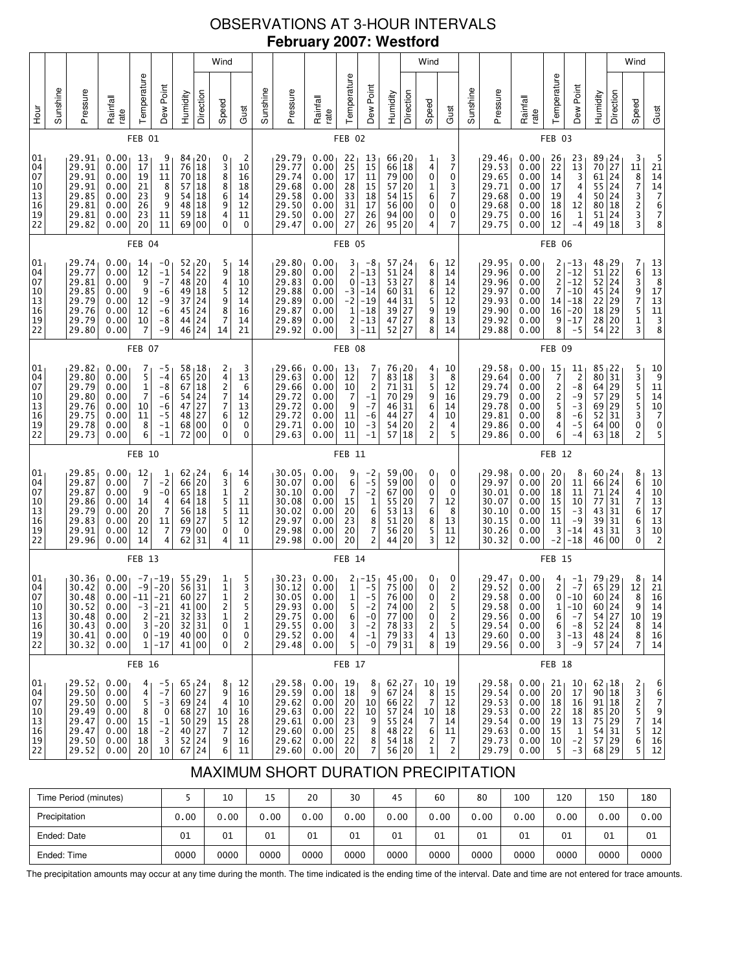# OBSERVATIONS AT 3-HOUR INTERVALS **February 2007: Westford**

| 01<br>04<br>07<br>10<br>13<br>16<br>19                      |               | 01<br>04<br>07<br>10<br>13<br>16<br>19<br>22                                                                |                   | 01<br>04<br>07<br>10<br>13<br>16<br>19<br>22                         |                   | 01<br>04<br>07<br>10<br>13<br>16<br>19<br>22                                                             |               | 01<br>04<br>07<br>10<br>13<br>16<br>19<br>22                                                                            |        | 01<br>04<br>07<br>10<br>13<br>16<br>19<br>22                                                                      |        | <b>Hour</b>      |  |
|-------------------------------------------------------------|---------------|-------------------------------------------------------------------------------------------------------------|-------------------|----------------------------------------------------------------------|-------------------|----------------------------------------------------------------------------------------------------------|---------------|-------------------------------------------------------------------------------------------------------------------------|--------|-------------------------------------------------------------------------------------------------------------------|--------|------------------|--|
|                                                             |               |                                                                                                             |                   |                                                                      |                   |                                                                                                          |               |                                                                                                                         |        |                                                                                                                   |        | Sunshine         |  |
| 29.52<br>29.50<br>29.50<br>29.49<br>29.47                   |               | 30.36<br>30.42<br>30.48<br>30.52<br>30.48<br>30.43<br>30.41<br>30.32                                        |                   | 29.85<br>29.87<br>29.87<br>29.86<br>29.79<br>29.83<br>29.91<br>29.96 |                   | 29.82<br>29.80<br>29.79<br>29.80<br>29.76<br>29.75<br>29.78<br>29.73                                     |               | 29.74<br>29.77<br>29.81<br>29.85<br>29.79<br>29.76<br>29.79<br>29.80                                                    |        | 29.91<br>29.91<br>29.91<br>29.91<br>29.85<br>29.81<br>29.81<br>29.82                                              |        | Pressure         |  |
| 0.00<br>0.00<br>0.00<br>0.00<br>0.00                        |               | 0.00<br>0.00<br>$0.00$ -11<br>0.00<br>0.00<br>0.00<br>0.00<br>0.00                                          |                   | 0.00<br>0.00<br>0.00<br>0.00<br>0.00<br>0.00<br>0.00<br>0.00         |                   | 0.00<br>0.00<br>0.00<br>0.00<br>0.00<br>0.00<br>0.00<br>0.00                                             |               | 0.00<br>0.00<br>0.00<br>0.00<br>0.00<br>0.00<br>0.00<br>0.00                                                            |        | 0.00<br>0.00<br>0.00<br>0.00<br>0.00<br>0.00<br>0.00<br>0.00                                                      |        | Rainfall<br>rate |  |
| 4<br>4<br>5<br>8<br>15                                      | <b>FEB 16</b> | $-7$<br>$-9$<br>$-3$<br>$\overline{2}$                                                                      | FEB <sub>13</sub> | 12<br>$\overline{7}$<br>9<br>14<br>20<br>20<br>12<br>14              | FEB 10            | 7<br>5<br>1<br>7<br>10<br>11<br>8<br>6                                                                   | FEB 07        | 14<br>12<br>9<br>9<br>12<br>12<br>10<br>7                                                                               | FEB 04 | 13<br>17<br>19<br>21<br>23<br>26<br>23<br>20                                                                      | FEB 01 | Temperature      |  |
| -5<br>$-7$<br>$-3$<br>0<br>$-1$<br>$-2$                     |               | $-19$<br>$-20$<br>$-21$<br>-21<br>$-21$<br>$3 - 20$<br>$0 - 19$<br>$1 - 17$                                 |                   | 1<br>$-2$<br>$-0$<br>4<br>$\overline{7}$<br>11<br>7<br>4             |                   | -5<br>$-4$<br>-8<br>-6<br>$-6$<br>$-5$<br>$-1$<br>$-1$                                                   |               | $-0$<br>$-1$<br>$-7$<br>-6<br>-9<br>-6<br>-8<br>$-9$                                                                    |        | 9<br>11<br>11<br>8<br>9<br>9<br>11<br>11                                                                          |        | Dew Point        |  |
| $65 \, 24$<br>60 27<br>69 24<br>68 27<br>50 29              |               | $\begin{array}{c c} 55 & 29 \\ 56 & 31 \end{array}$<br>60 27<br>41 00<br>32 33<br>$32$ 31<br>40 00<br>41 00 |                   | $62 \, 24$<br>66<br>65 18<br>64<br>56<br>69<br>79<br>62              |                   | 58,18<br>65<br>67<br>54<br>47<br>48<br>68<br>72 00                                                       |               | $52 \mid 20$<br>54<br>48<br>49<br>37 24<br>45<br>44<br>46 24                                                            |        | 84<br>76<br>${\bf 70}$<br>57<br>54<br>48<br>59<br>69                                                              |        | Humidity         |  |
| 40 27                                                       |               |                                                                                                             |                   | 20<br>18<br>18<br>27<br>00<br>31                                     |                   | 20<br>18<br>24<br>27<br>27<br>00                                                                         |               | $\overline{2}$<br>20<br>18<br>24<br>24                                                                                  |        | $\begin{array}{c} 20 \\ 18 \\ 18 \end{array}$<br>$\begin{bmatrix} 18 \\ 18 \\ 18 \\ 18 \end{bmatrix}$<br>18<br>00 |        | Direction        |  |
| 8 <sub>1</sub><br>9<br>4<br>10<br>15<br>7                   |               | $\begin{bmatrix} 1 \\ 1 \\ 1 \end{bmatrix}$<br>2<br>1<br>0<br>0<br>$\Omega$                                 |                   | 6<br>3<br>$\mathbf 1$<br>5<br>5<br>5<br>$\bar{0}$<br>4               |                   | $\begin{array}{c} 2 \\ 4 \\ 2 \end{array}$<br>7<br>7<br>6<br>$\pmb{0}$<br>0                              |               | 5<br>9<br>4<br>5<br>9<br>8<br>7<br>14                                                                                   |        | 0<br>3<br>8<br>8<br>$\overline{6}$<br>9<br>4<br>0                                                                 |        | Wind<br>Speed    |  |
| 12<br>16<br>10<br>16<br>28<br>12                            |               | 5<br>3<br>2<br>5<br>2<br>1<br>0<br>2                                                                        |                   | 14<br>6<br>$\overline{\mathbf{c}}$<br>11<br>11<br>12<br>0<br>11      |                   | 3<br>13<br>6<br>14<br>13<br>12<br>0<br>0                                                                 |               | 14<br>18<br>10<br>12<br>14<br>16<br>14<br>21                                                                            |        | 2<br>10<br>16<br>18<br>14<br>12<br>11<br>0                                                                        |        | Gust             |  |
|                                                             |               |                                                                                                             |                   |                                                                      |                   |                                                                                                          |               |                                                                                                                         |        |                                                                                                                   |        | Sunshine         |  |
| 29.58<br>29.59<br>29.62<br>29.63<br>29.61<br>29.60          |               | 30.23<br>30.12<br>30.05<br>29.93<br>29.75<br>29.55<br>29.52<br>29.48                                        |                   | 30.05<br>30.07<br>30.10<br>30.08<br>30.02<br>29.97<br>29.98<br>29.98 |                   | 29.66<br>29.63<br>29.66<br>29.72<br>29.72<br>29.72<br>29.71<br>29.63                                     |               | 29.80<br>29.80<br>29.83<br>29.88<br>29.89<br>29.87<br>29.89<br>29.92                                                    |        | 29.79<br>29.77<br>29.74<br>29.68<br>29.58<br>29.50<br>29.50<br>29.47                                              |        | Pressure         |  |
| 0.00<br>0.00<br>0.00<br>0.00<br>0.00<br>0.00                |               | 0.00<br>0.00<br>0.00<br>0.00<br>0.00<br>0.00<br>0.00<br>0.00                                                |                   | 0.00<br>0.00<br>0.00<br>0.00<br>0.00<br>0.00<br>0.00<br>0.00         |                   | 0.00<br>0.00<br>0.00<br>0.00<br>0.00<br>0.00<br>0.00<br>0.00                                             |               | 0.00<br>0.00<br>0.00<br>0.00<br>0.00<br>0.00<br>0.00<br>0.00                                                            |        | 0.00<br>0.00<br>0.00<br>0.00<br>0.00<br>0.00<br>0.00<br>0.00                                                      |        | Rainfall<br>rate |  |
| 19<br>18<br>20<br>22<br>23<br>25                            | FEB 17        | $\begin{array}{c} 2 \\ 1 \\ 1 \end{array}$<br>5<br>6<br>3<br>4<br>5                                         | FEB <sub>14</sub> | 9<br>6<br>$\overline{7}$<br>15<br>20<br>23<br>20<br>20               | FEB <sub>11</sub> | 13<br>12<br>10<br>7<br>9<br>11<br>10<br>11                                                               | FEB 08        | 3<br>2<br>0<br>-3<br>$-2$<br>$\mathbf 1$<br>2<br>3                                                                      | FEB 05 | 22<br>25<br>17<br>28<br>33<br>31<br>27<br>27                                                                      | FEB 02 | Temperature      |  |
| 8<br>9<br>10<br>10<br>9<br>8                                |               | $-15$<br>$-5$<br>$-5$<br>$^{-2}$<br>-0<br>$-2$<br>$-1$<br>$-0$                                              |                   | $-2$<br>$-5$<br>$-2$<br>$1$<br>$6$<br>$8$<br>$7$<br>$2$              |                   | $\begin{array}{c} 7 \\ 7 \\ 2 \end{array}$<br>$-1$<br>$-7$<br>$-6$<br>$-3$<br>$-1$                       |               | -8<br>$-13$<br>$-13$<br>$-14$<br>$-19$<br>$-18$<br>$-13$<br>$-11$                                                       |        | 13<br>15<br>11<br>15<br>18<br>17<br>26<br>26                                                                      |        | Dew Point        |  |
| $62 \mid 27$<br>$67$ 24<br>66 22<br>57 24<br>55 24<br>48 22 |               | 45 00<br>75 00<br>76 00<br>74 00<br>77 00<br>78 33<br>79 33<br>79 31                                        |                   | 59 00<br>59 00<br>67 00<br>55 20<br>53<br>51<br>56<br>44             |                   | 76 <sub>1</sub> 20<br>83<br>71<br>70 29<br>46 31<br>44<br>54<br>57                                       |               | $\begin{array}{ c c }\n 57 & 24 \\  51 & 24 \\  \end{array}$<br>$53$ 27<br>60 31<br>44 31<br>39 27<br>47<br>52 27       |        | 66 <sub>1</sub> 20<br>66 18<br>79 00<br>57 20<br>54 15<br>56 00<br>94 00<br>95 20                                 |        | Humidity         |  |
|                                                             |               |                                                                                                             |                   | $\vert$ 13<br>20<br>20<br>20                                         |                   | 18<br>31<br>27<br> 20<br>  18                                                                            |               | 27                                                                                                                      |        |                                                                                                                   |        | Direction        |  |
| 10<br>8<br>7<br>10<br>7<br>6                                |               | 0<br>0<br>$\Omega$<br>2<br>0<br>2<br>4<br>8                                                                 |                   | 0<br>0<br>0<br>7<br>6<br>8<br>5<br>3                                 |                   | 4<br>3<br>5<br>9<br>6<br>4<br>$\frac{2}{2}$                                                              |               | 6<br>8<br>8<br>6<br>5<br>9<br>8<br>8                                                                                    |        | 1<br>4<br>0<br>1<br>6<br>0<br>0<br>4                                                                              |        | Wind<br>Speed    |  |
| 19<br>15<br>12<br>18<br>14<br>11                            |               | 0<br>$\frac{2}{2}$<br>5<br>2<br>5<br>13<br>19                                                               |                   | 0<br>0<br>0<br>12<br>8<br>13<br>11<br>12                             |                   | 10<br>8<br>12<br>16<br>14<br>10<br>4<br>5                                                                |               | 12<br>14<br>14<br>12<br>12<br>19<br>13<br>14                                                                            |        | 3<br>7<br>0<br>3<br>7<br>0<br>0<br>7                                                                              |        | Gust             |  |
|                                                             |               |                                                                                                             |                   |                                                                      |                   |                                                                                                          |               |                                                                                                                         |        |                                                                                                                   |        | Sunshine         |  |
| 29.58 <br>29.54<br>29.53<br>29.53<br>29.54<br>29.63         |               | 29.47<br>29.52<br>29.58<br>29.58<br>29.56<br>29.54<br>29.60<br>29.56                                        |                   | 29.98<br>29.97<br>30.01<br>30.07<br>30.10<br>30.15<br>30.26<br>30.32 |                   | 29.58<br>29.64<br>29.74<br>29.79<br>29.78<br>29.81<br>29.86<br>29.86                                     |               | 29.95<br>29.96<br>29.96<br>29.97<br>29.93<br>29.90<br>29.92<br>29.88                                                    |        | 29.46<br>29.53<br>29.65<br>29.71<br>29.68<br>29.68<br>29.75<br>29.75                                              |        | Pressure         |  |
| 0.00 <sub>1</sub><br>0.00<br>0.00<br>0.00<br>0.00<br>0.00   |               | 0.00<br>0.00<br>0.00<br>0.00<br>0.00<br>0.00<br>0.00<br>0.00                                                |                   | 0.00<br>0.00<br>0.00<br>0.00<br>0.00<br>0.00<br>0.00<br>0.00         |                   | 0.00<br>0.00<br>0.00<br>0.00<br>0.00<br>0.00<br>0.00<br>0.00                                             |               | 0.00<br>0.00<br>0.00<br>0.00<br>0.00<br>0.00<br>0.00<br>0.00                                                            |        | 0.00<br>0.00<br>0.00<br>0.00<br>0.00<br>0.00<br>0.00<br>0.00                                                      |        | Rainfall<br>rate |  |
| 21 <sub>1</sub><br>20<br>18<br>22<br>19<br>15               | FEB 18        | $\frac{4}{2}$<br>0 <sup>1</sup><br>1<br>6<br>$6 \mid$<br>3 <br>3                                            | FEB <sub>15</sub> | 20<br>20<br>18<br>15<br>15<br>11<br>3<br>$-2$                        | FEB <sub>12</sub> | 15<br>7<br>$\overline{\mathbf{c}}$<br>$\overline{\mathbf{c}}$<br>5<br>8<br>4<br>6                        | <b>FEB 09</b> | 2<br>$\overline{2}$<br>$\overline{c}$<br>7<br>14<br>16<br>9<br>8                                                        | FEB 06 | 26<br>22<br>14<br>17<br>19<br>18<br>16<br>12                                                                      | FEB 03 | Temperature      |  |
| 10<br>17<br>16<br>18<br>13<br>$\mathbf 1$                   |               | $\frac{-1}{-7}$<br>$-10$<br>$-10$<br>$-7$<br>$-8$<br>$-13$<br>$-9$                                          |                   | 8<br>11<br>11<br>10<br>$-3$<br>$-9$<br>-14<br>$-18$                  |                   | 11<br>$\overline{c}$<br>-8<br>$-9$<br>$-3$<br>$-6$<br>$-5$<br>$-4$                                       |               | $-13$<br>$-12$<br>$-12$<br>$-10$<br>$-18$<br>$-20$<br>$-17$<br>$-5$                                                     |        | 23<br>$\begin{array}{c} 13 \\ 3 \end{array}$<br>$\frac{4}{4}$<br>12<br>$\mathbf 1$<br>-4                          |        | Dew Point        |  |
| $62 \mid 18$<br>90 18<br>91 18<br>85 20<br>75 29            |               | $\begin{array}{c} 79 \\ 65 \end{array}$<br>60 24<br>60 24<br>54 27<br>52 24<br>48 24<br>57 24               |                   | 60 <sub>1</sub> 24<br>66<br>71<br>77<br>43<br>39<br>43<br>46         |                   | $85 + 22$<br>80<br>64<br>57<br>69<br>52<br>64 00<br>63                                                   |               | $\begin{array}{c} 48 \\ 51 \end{array} \begin{array}{c} 29 \\ 22 \end{array}$<br>52<br>45 24<br>22<br>18<br>28<br>54 22 |        | 89<br>70<br>61<br>55 24<br>50 24<br>80<br>51<br>49                                                                |        | Humidity         |  |
| 54 31                                                       |               | $\begin{array}{c} 29 \\ 29 \end{array}$                                                                     |                   | 24<br>24<br>31<br>31<br>31<br>31<br>  00                             |                   | 31<br> 29<br> 29<br> 29<br>31<br>18                                                                      |               | 24<br>29<br> 29<br> 20                                                                                                  |        | 24<br>27<br> 24<br>18<br>24<br>18                                                                                 |        | Direction        |  |
| $\begin{array}{c} 2 \\ 3 \\ 2 \end{array}$<br>5<br>7<br>5   |               | $\begin{array}{c} 8 \\ 12 \end{array}$<br>8<br>9<br>10<br>8<br>8<br>$\overline{7}$                          |                   | 86476<br>6<br>3<br>$\mathbf{0}$                                      |                   | 535530<br>2                                                                                              |               | 7639751<br>3                                                                                                            |        | 3<br>$\begin{array}{c}\n 11 \\  8 \\  7 \\  3 \\  2 \\  3 \\  3 \\  \end{array}$                                  |        | Wind<br>Speed    |  |
| 6<br>6<br>$\boldsymbol{7}$<br>9<br>14<br>12                 |               | $\begin{array}{c} 14 \\ 21 \end{array}$<br>16<br>14<br>19<br>14<br>16<br>14                                 |                   | 13<br>10<br>10<br>13<br>17<br>13<br>10<br>$\overline{2}$             |                   | $\begin{array}{c}\n10 \\ 9 \\ 11\n\end{array}$<br>$\begin{array}{c} 14 \\ 10 \\ 7 \\ 0 \\ 5 \end{array}$ |               | $\begin{array}{r} 13 \\ 13 \\ 8 \\ 17 \\ 13 \\ 11 \\ 3 \\ 8 \end{array}$                                                |        | 5<br>21<br>14<br>14<br>7<br>6<br>7<br>8                                                                           |        | Gust             |  |

# MAXIMUM SHORT DURATION PRECIPITATION

| Time Period (minutes) |      | 10   | 15   | 20   | 30   | 45   | 60   | 80   | 100  | 120  | 150  | 180  |
|-----------------------|------|------|------|------|------|------|------|------|------|------|------|------|
| Precipitation         | 0.00 | 0.00 | 0.00 | 0.00 | 0.00 | 0.00 | 0.00 | 0.00 | 0.00 | 0.00 | 0.00 | 0.00 |
| Ended: Date           | 01   | 01   | 01   | 01   | 01   | 01   | 01   | 01   | 01   | 01   | 01   | 01   |
| Ended: Time           | 0000 | 0000 | 0000 | 0000 | 0000 | 0000 | 0000 | 0000 | 0000 | 0000 | 0000 | 0000 |

The precipitation amounts may occur at any time during the month. The time indicated is the ending time of the interval. Date and time are not entered for trace amounts.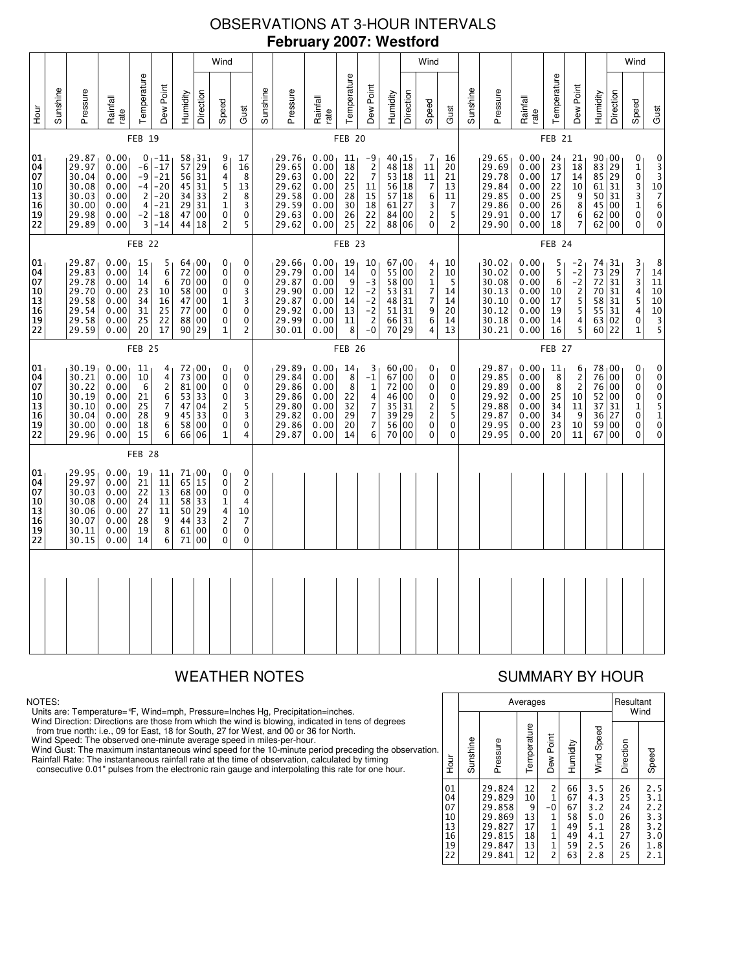# OBSERVATIONS AT 3-HOUR INTERVALS **February 2007: Westford**

|                                              |          |                                                                      |                                                              |                                                          |                                                                          |                                  |                                                                  | Wind                                                                                                    |                                                                                     |          |                                                                      |                                                              |                                              |                                                                           |                                              | Wind                                                                   |                                                                                                                         |                                             |          |                                                                      |                                                              |                                              |                                                                    |                                                                    |                                                                             | Wind                                                                                             |                                                                                                                                      |
|----------------------------------------------|----------|----------------------------------------------------------------------|--------------------------------------------------------------|----------------------------------------------------------|--------------------------------------------------------------------------|----------------------------------|------------------------------------------------------------------|---------------------------------------------------------------------------------------------------------|-------------------------------------------------------------------------------------|----------|----------------------------------------------------------------------|--------------------------------------------------------------|----------------------------------------------|---------------------------------------------------------------------------|----------------------------------------------|------------------------------------------------------------------------|-------------------------------------------------------------------------------------------------------------------------|---------------------------------------------|----------|----------------------------------------------------------------------|--------------------------------------------------------------|----------------------------------------------|--------------------------------------------------------------------|--------------------------------------------------------------------|-----------------------------------------------------------------------------|--------------------------------------------------------------------------------------------------|--------------------------------------------------------------------------------------------------------------------------------------|
| ыы<br>Э                                      | Sunshine | Pressure                                                             | Rainfall<br>rate                                             | Temperature                                              | Dew Point                                                                | Humidity                         | Direction                                                        | Speed                                                                                                   | Gust                                                                                | Sunshine | Pressure                                                             | Rainfall<br>rate                                             | Temperature                                  | Dew Point                                                                 | Humidity                                     | Direction                                                              | Speed                                                                                                                   | Gust                                        | Sunshine | Pressure                                                             | Rainfall<br>rate                                             | Temperature                                  | Dew Point                                                          | Humidity                                                           | Direction                                                                   | Speed                                                                                            | Gust                                                                                                                                 |
|                                              |          |                                                                      |                                                              | <b>FEB 19</b>                                            |                                                                          |                                  |                                                                  |                                                                                                         |                                                                                     |          |                                                                      |                                                              | FEB <sub>20</sub>                            |                                                                           |                                              |                                                                        |                                                                                                                         |                                             |          |                                                                      |                                                              | FEB <sub>21</sub>                            |                                                                    |                                                                    |                                                                             |                                                                                                  |                                                                                                                                      |
| 01<br>04<br>07<br>10<br>13<br>16<br>19<br>22 |          | 29.87<br>29.97<br>30.04<br>30.08<br>30.03<br>30.00<br>29.98<br>29.89 | 0.00<br>0.00<br>0.00<br>0.00<br>0.00<br>0.00<br>0.00<br>0.00 | $-6$<br>$-9$<br>$-4$<br>$\overline{2}$<br>4<br>$-2$<br>3 | $01 - 11$<br>$-17$<br>$-21$<br>$-20$<br>$-20$<br>$-21$<br>$-18$<br>$-14$ | 56<br>34<br>29                   | 58 31<br>57 29<br>56 31<br>$45$ 31<br>33<br>31<br>47 00<br>44 18 | 9<br>6<br>4<br>5<br>$\overline{\mathbf{c}}$<br>$\mathbf{1}$<br>0<br>$\overline{c}$                      | 17<br>16<br>8<br>13<br>8<br>3<br>0<br>5                                             |          | 29.76<br>29.65<br>29.63<br>29.62<br>29.58<br>29.59<br>29.63<br>29.62 | 0.00<br>0.00<br>0.00<br>0.00<br>0.00<br>0.00<br>0.00<br>0.00 | 11<br>18<br>22<br>25<br>28<br>30<br>26<br>25 | -9<br>$\frac{2}{7}$<br>11<br>15<br>18<br>22<br>22                         | 48<br>53<br>57<br>61<br>84                   | $40_115$<br>18<br>$\overline{18}$<br>56 18<br> 18<br>27<br>00<br>88 06 | 7<br>11<br>$\overline{11}$<br>$\overline{7}$<br>$\,6$<br>$\frac{3}{2}$<br>0                                             | 16<br>20<br>21<br>13<br>11<br>7<br>5<br>2   |          | 29.65<br>29.69<br>29.78<br>29.84<br>29.85<br>29.86<br>29.91<br>29.90 | 0.00<br>0.00<br>0.00<br>0.00<br>0.00<br>0.00<br>0.00<br>0.00 | 24<br>23<br>17<br>22<br>25<br>26<br>17<br>18 | 21<br>18<br>14<br>10<br>9<br>8<br>6<br>7                           | 90 00<br>83<br>$\overline{85}$<br>61 31<br>50<br>45<br>62<br>62 00 | $\begin{array}{ c c }\n 29 \\  \hline\n 29\n \end{array}$<br>31<br>00<br>00 | 0<br>$\begin{smallmatrix}1\0\end{smallmatrix}$<br>3<br>3<br>$\mathbf 1$<br>$\pmb{0}$<br>$\Omega$ | 0<br>$\frac{3}{3}$<br>$\begin{array}{c}\n10 \\ 7 \\ 6\n\end{array}$<br>$\ddot{\mathbf{0}}$<br>0                                      |
|                                              |          |                                                                      |                                                              | FEB <sub>22</sub>                                        |                                                                          |                                  |                                                                  |                                                                                                         |                                                                                     |          |                                                                      |                                                              | FEB <sub>23</sub>                            |                                                                           |                                              |                                                                        |                                                                                                                         |                                             |          |                                                                      |                                                              | FEB <sub>24</sub>                            |                                                                    |                                                                    |                                                                             |                                                                                                  |                                                                                                                                      |
| 01<br>04<br>07<br>10<br>13<br>16<br>19<br>22 |          | 29.87<br>29.83<br>29.78<br>29.70<br>29.58<br>29.54<br>29.58<br>29.59 | 0.00<br>0.00<br>0.00<br>0.00<br>0.00<br>0.00<br>0.00<br>0.00 | 15<br>14<br>14<br>23<br>34<br>31<br>25<br>20             | 5<br>6<br>6<br>10<br>16<br>25<br>22<br>17                                | 72<br>58<br>77                   | 64 00<br>00<br>70 00<br>00<br>47 00<br>00<br>88 00<br>90 29      | 0<br>0<br>$\mathbf 0$<br>$\mathbf 0$<br>1<br>$\mathbf 0$<br>$\mathbf 0$<br>1                            | 0<br>0<br>$\mathbf 0$<br>3<br>3<br>0<br>$\pmb{0}$<br>2                              |          | 29.66<br>29.79<br>29.87<br>29.90<br>29.87<br>29.92<br>29.99<br>30.01 | 0.00<br>0.00<br>0.00<br>0.00<br>0.00<br>0.00<br>0.00<br>0.00 | 19<br>14<br>9<br>12<br>14<br>13<br>11<br>8   | 10<br>$\ddot{\mathbf{0}}$<br>$-3$<br>$-2$<br>$-2$<br>$-2$<br>$-2$<br>$-0$ | 67<br>55<br>58<br>53<br>48<br>51<br>66<br>70 | $\overline{00}$<br>00<br>00<br>31<br>31<br>31<br>31<br>29              | 4<br>$\overline{2}$<br>$\mathbf{1}$<br>$\boldsymbol{7}$<br>$\overline{7}$<br>$\begin{array}{c} 9 \\ 6 \end{array}$<br>4 | 10<br>10<br>5<br>14<br>14<br>20<br>14<br>13 |          | 30.02<br>30.02<br>30.08<br>30.13<br>30.10<br>30.12<br>30.18<br>30.21 | 0.00<br>0.00<br>0.00<br>0.00<br>0.00<br>0.00<br>0.00<br>0.00 | 5<br>5<br>6<br>10<br>17<br>19<br>14<br>16    | $\frac{-2}{-2}$<br>$-2$<br>$\overline{c}$<br>5<br>5<br>4<br>5      | 74<br>73<br>72<br>70<br>58 31<br>55<br>63<br>60 22                 | $\left  \frac{31}{29} \right $<br>31<br>31<br>31<br>02                      | $\frac{3}{7}$<br>3<br>4<br>5<br>4<br>0<br>1                                                      | $\begin{array}{c} 8 \\ 14 \end{array}$<br>11<br>10<br>$\overline{10}$<br>$\begin{array}{c}\n 10 \\  3 \\  \hline\n 5\n \end{array}$  |
|                                              |          |                                                                      |                                                              | FEB <sub>25</sub>                                        |                                                                          |                                  |                                                                  |                                                                                                         |                                                                                     |          |                                                                      |                                                              | <b>FEB 26</b>                                |                                                                           |                                              |                                                                        |                                                                                                                         |                                             |          |                                                                      |                                                              | <b>FEB 27</b>                                |                                                                    |                                                                    |                                                                             |                                                                                                  |                                                                                                                                      |
| 01<br>04<br>07<br>10<br>13<br>16<br>19<br>22 |          | 30.19<br>30.21<br>30.22<br>30.19<br>30.10<br>30.04<br>30.00<br>29.96 | 0.00<br>0.00<br>0.00<br>0.00<br>0.00<br>0.00<br>0.00<br>0.00 | 11<br>10<br>6<br>21<br>25<br>28<br>18<br>15              | 4<br>$\overline{4}$<br>$\overline{c}$<br>6<br>7<br>9<br>6<br>6           | 73<br>81<br>53<br>47<br>45<br>58 | 72 00<br>00<br>00<br>33<br>04<br>33<br>00<br>66 06               | 0<br>$\mathbf 0$<br>0<br>$\pmb{0}$<br>$\overline{\mathbf{c}}$<br>$\pmb{0}$<br>$\pmb{0}$<br>$\mathbf{1}$ | 0<br>0<br>0<br>3<br>$\frac{5}{3}$<br>$\pmb{0}$<br>4                                 |          | 29.89<br>29.84<br>29.86<br>29.86<br>29.80<br>29.82<br>29.86<br>29.87 | 0.00<br>0.00<br>0.00<br>0.00<br>0.00<br>0.00<br>0.00<br>0.00 | 14<br>8<br>8<br>22<br>32<br>29<br>20<br>14   | 3<br>$-1$<br>1477<br>6                                                    | 67<br>72<br>46<br>35<br>39<br>56<br>70       | 60,00<br>00<br>00<br>00<br>31<br>29<br>00<br>00                        | 0<br>$\mathbf 0$<br>0<br>0<br>$\frac{2}{2}$<br>$\mathbf 0$<br>0                                                         | 0<br>0<br>0<br>0<br>5<br>5<br>0<br>0        |          | 29.87<br>29.85<br>29.89<br>29.92<br>29.88<br>29.87<br>29.95<br>29.95 | 0.00<br>0.00<br>0.00<br>0.00<br>0.00<br>0.00<br>0.00<br>0.00 | 11<br>8<br>8<br>25<br>34<br>34<br>23<br>20   | 6<br>$\overline{c}$<br>$\overline{2}$<br>10<br>11<br>9<br>10<br>11 | 78,00<br>76<br>76<br>52<br>37<br>36<br>59<br>67                    | 00<br>00<br>00<br>31<br>27<br>00<br>00                                      | 0<br>0<br>0<br>$\pmb{0}$<br>$\mathbf{1}$<br>0<br>$\pmb{0}$<br>0                                  | 0<br>$\begin{smallmatrix}0\0\0\end{smallmatrix}$<br>$\ddot{\mathbf{0}}$<br>$\begin{array}{c} 5 \\ 1 \\ 0 \end{array}$<br>$\mathbf 0$ |
|                                              |          |                                                                      |                                                              | FEB <sub>28</sub>                                        |                                                                          |                                  |                                                                  |                                                                                                         |                                                                                     |          |                                                                      |                                                              |                                              |                                                                           |                                              |                                                                        |                                                                                                                         |                                             |          |                                                                      |                                                              |                                              |                                                                    |                                                                    |                                                                             |                                                                                                  |                                                                                                                                      |
| 01<br>04<br>07<br>10<br>13<br>16<br>19<br>22 |          | 29.95<br>29.97<br>30.03<br>30.08<br>30.06<br>30.07<br>30.11<br>30.15 | 0.00<br>0.00<br>0.00<br>0.00<br>0.00<br>0.00<br>0.00<br>0.00 | 19<br>21<br>22<br>24<br>27<br>28<br>19<br>14             | 11<br>11<br>13<br>11<br>11<br>9<br>8<br>6                                | 65<br>50<br>44<br>61<br>71       | 71 00<br>15<br>68 00<br>58 33<br>29<br>33<br>00<br>00            | 0<br>0<br>$\mathbf 0$<br>$\mathbf{1}$<br>4<br>$\overline{c}$<br>0<br>0                                  | 0<br>$\overline{2}$<br>$\mathbf 0$<br>4<br>10<br>$\overline{7}$<br>0<br>$\mathbf 0$ |          |                                                                      |                                                              |                                              |                                                                           |                                              |                                                                        |                                                                                                                         |                                             |          |                                                                      |                                                              |                                              |                                                                    |                                                                    |                                                                             |                                                                                                  |                                                                                                                                      |
|                                              |          |                                                                      |                                                              |                                                          |                                                                          |                                  |                                                                  |                                                                                                         |                                                                                     |          |                                                                      |                                                              |                                              |                                                                           |                                              |                                                                        |                                                                                                                         |                                             |          |                                                                      |                                                              |                                              |                                                                    |                                                                    |                                                                             |                                                                                                  |                                                                                                                                      |
|                                              |          |                                                                      |                                                              |                                                          |                                                                          |                                  |                                                                  |                                                                                                         |                                                                                     |          |                                                                      |                                                              |                                              |                                                                           |                                              |                                                                        |                                                                                                                         |                                             |          |                                                                      |                                                              |                                              |                                                                    |                                                                    |                                                                             |                                                                                                  |                                                                                                                                      |

### NOTES:

Units are: Temperature=°F, Wind=mph, Pressure=Inches Hg, Precipitation=inches.

Wind Direction: Directions are those from which the wind is blowing, indicated in tens of degrees<br>from true north: i.e., 09 for East, 18 for South, 27 for West, and 00 or 36 for North.<br>Wind Speed: The observed one-minute a

Wind Gust: The maximum instantaneous wind speed for the 10-minute period preceding the observation Rainfall Rate: The instantaneous rainfall rate at the time of observation, calculated by timing

consecutive 0.01" pulses from the electronic rain gauge and interpolating this rate for one hour.

# WEATHER NOTES SUMMARY BY HOUR

|    |                                              |          |                                                                              | Averages                                    |                                                                                     |                                              |                                                      | Resultant                                    | Wind                                                 |
|----|----------------------------------------------|----------|------------------------------------------------------------------------------|---------------------------------------------|-------------------------------------------------------------------------------------|----------------------------------------------|------------------------------------------------------|----------------------------------------------|------------------------------------------------------|
| n. | Hour                                         | Sunshine | Pressure                                                                     | Temperature                                 | Dew Point                                                                           | Humidity                                     | Wind Speed                                           | Direction                                    | Speed                                                |
|    | 01<br>04<br>07<br>10<br>13<br>16<br>19<br>22 |          | 29.824<br>29.829<br>29.858<br>29.869<br>29.827<br>29.815<br>29.847<br>29.841 | 12<br>10<br>9<br>13<br>17<br>18<br>13<br>12 | $\frac{2}{1}$<br>$-0$<br>$\mathbf{1}$<br>$\overline{1}$<br>1<br>1<br>$\overline{c}$ | 66<br>67<br>67<br>58<br>49<br>49<br>59<br>63 | 3.5<br>4.3<br>3.2<br>5.0<br>5.1<br>4.1<br>2.5<br>2.8 | 26<br>25<br>24<br>26<br>28<br>27<br>26<br>25 | 2.5<br>3.1<br>2.2<br>3.3<br>3.2<br>3.0<br>1.8<br>2.1 |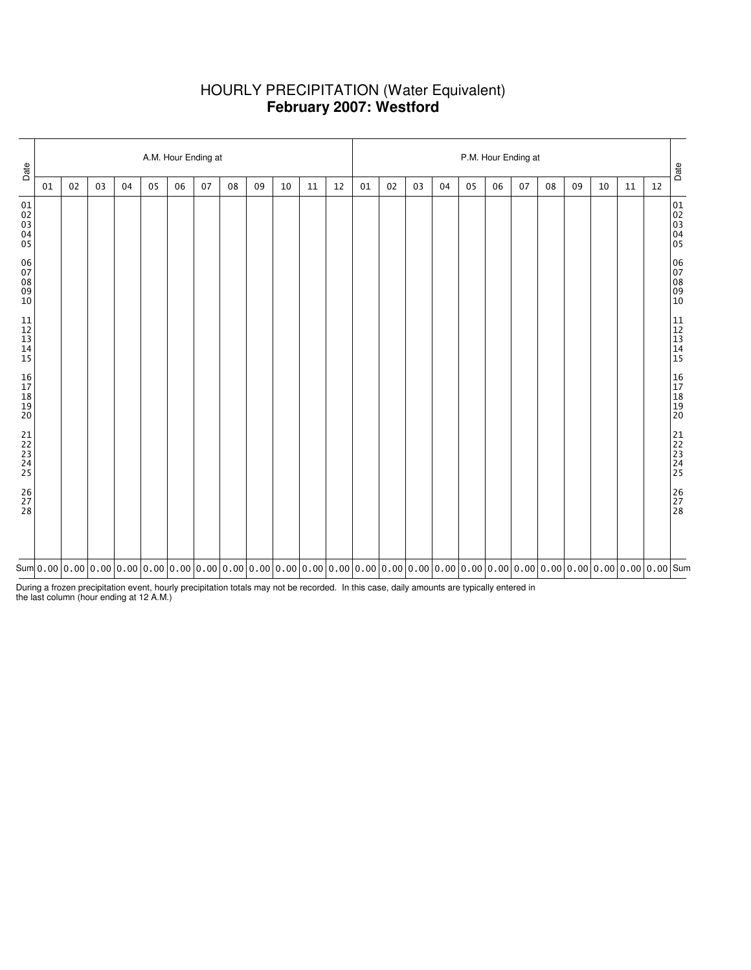# HOURLY PRECIPITATION (Water Equivalent) **February 2007: Westford**

| Date                                                      | A.M. Hour Ending at |    |    |    |    |    |    |    |    |    |    |    |    | P.M. Hour Ending at |    |    |    |    |    |    |    |    |    |    |                                                           |
|-----------------------------------------------------------|---------------------|----|----|----|----|----|----|----|----|----|----|----|----|---------------------|----|----|----|----|----|----|----|----|----|----|-----------------------------------------------------------|
|                                                           | 01                  | 02 | 03 | 04 | 05 | 06 | 07 | 08 | 09 | 10 | 11 | 12 | 01 | 02                  | 03 | 04 | 05 | 06 | 07 | 08 | 09 | 10 | 11 | 12 | Date                                                      |
| 01<br>02<br>03<br>04<br>05                                |                     |    |    |    |    |    |    |    |    |    |    |    |    |                     |    |    |    |    |    |    |    |    |    |    | 01<br>02<br>03<br>04<br>04<br>05                          |
| 06<br>07<br>08<br>09<br>09<br>10                          |                     |    |    |    |    |    |    |    |    |    |    |    |    |                     |    |    |    |    |    |    |    |    |    |    | 06<br>07<br>08<br>09<br>09<br>10                          |
| $\begin{array}{c} 11 \\ 12 \\ 13 \\ 14 \\ 15 \end{array}$ |                     |    |    |    |    |    |    |    |    |    |    |    |    |                     |    |    |    |    |    |    |    |    |    |    | $\begin{array}{c} 11 \\ 12 \\ 13 \\ 14 \\ 15 \end{array}$ |
| 16<br>17<br>18<br>19<br>19<br>20                          |                     |    |    |    |    |    |    |    |    |    |    |    |    |                     |    |    |    |    |    |    |    |    |    |    | 16<br>17<br>18<br>19<br>19<br>20                          |
| 21<br>22<br>23<br>24<br>25                                |                     |    |    |    |    |    |    |    |    |    |    |    |    |                     |    |    |    |    |    |    |    |    |    |    | 21<br>22<br>23<br>24<br>25                                |
| $\begin{array}{c} 26 \\ 27 \\ 28 \end{array}$             |                     |    |    |    |    |    |    |    |    |    |    |    |    |                     |    |    |    |    |    |    |    |    |    |    | 26<br>27<br>28                                            |
|                                                           |                     |    |    |    |    |    |    |    |    |    |    |    |    |                     |    |    |    |    |    |    |    |    |    |    |                                                           |

During a frozen precipitation event, hourly precipitation totals may not be recorded. In this case, daily amounts are typically entered in the last column (hour ending at 12 A.M.)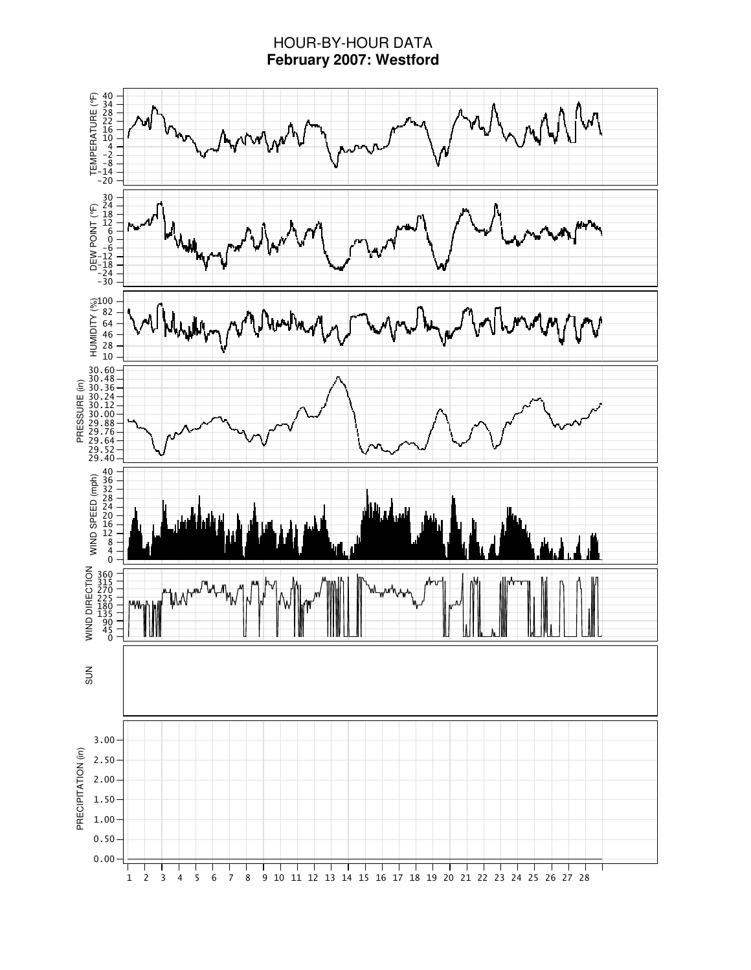# HOUR-BY-HOUR DATA **February 2007: Westford**